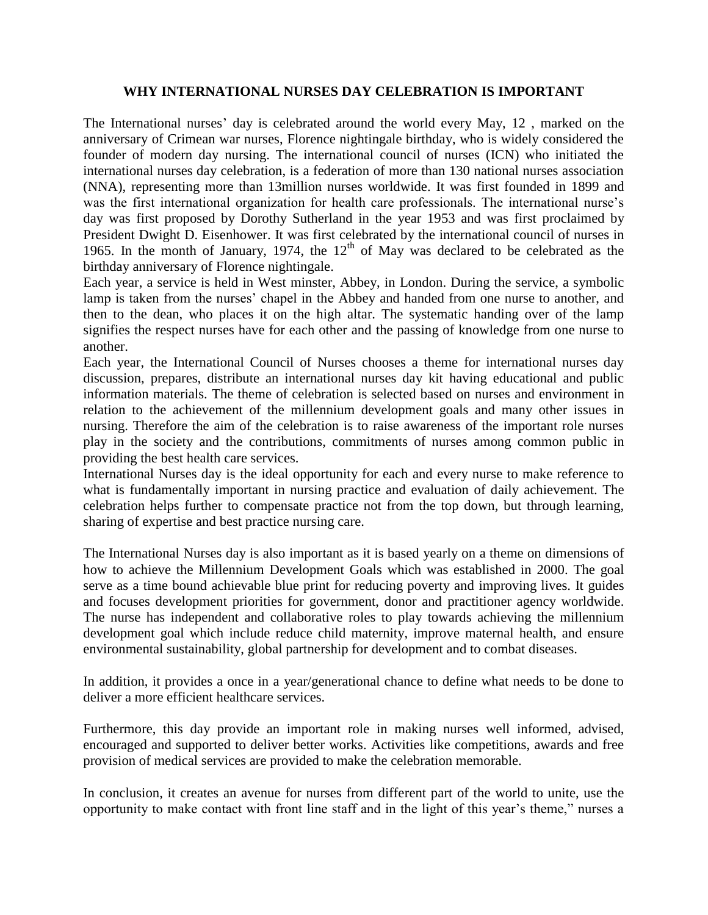## **WHY INTERNATIONAL NURSES DAY CELEBRATION IS IMPORTANT**

The International nurses' day is celebrated around the world every May, 12 , marked on the anniversary of Crimean war nurses, Florence nightingale birthday, who is widely considered the founder of modern day nursing. The international council of nurses (ICN) who initiated the international nurses day celebration, is a federation of more than 130 national nurses association (NNA), representing more than 13million nurses worldwide. It was first founded in 1899 and was the first international organization for health care professionals. The international nurse's day was first proposed by Dorothy Sutherland in the year 1953 and was first proclaimed by President Dwight D. Eisenhower. It was first celebrated by the international council of nurses in 1965. In the month of January, 1974, the  $12<sup>th</sup>$  of May was declared to be celebrated as the birthday anniversary of Florence nightingale.

Each year, a service is held in West minster, Abbey, in London. During the service, a symbolic lamp is taken from the nurses' chapel in the Abbey and handed from one nurse to another, and then to the dean, who places it on the high altar. The systematic handing over of the lamp signifies the respect nurses have for each other and the passing of knowledge from one nurse to another.

Each year, the International Council of Nurses chooses a theme for international nurses day discussion, prepares, distribute an international nurses day kit having educational and public information materials. The theme of celebration is selected based on nurses and environment in relation to the achievement of the millennium development goals and many other issues in nursing. Therefore the aim of the celebration is to raise awareness of the important role nurses play in the society and the contributions, commitments of nurses among common public in providing the best health care services.

International Nurses day is the ideal opportunity for each and every nurse to make reference to what is fundamentally important in nursing practice and evaluation of daily achievement. The celebration helps further to compensate practice not from the top down, but through learning, sharing of expertise and best practice nursing care.

The International Nurses day is also important as it is based yearly on a theme on dimensions of how to achieve the Millennium Development Goals which was established in 2000. The goal serve as a time bound achievable blue print for reducing poverty and improving lives. It guides and focuses development priorities for government, donor and practitioner agency worldwide. The nurse has independent and collaborative roles to play towards achieving the millennium development goal which include reduce child maternity, improve maternal health, and ensure environmental sustainability, global partnership for development and to combat diseases.

In addition, it provides a once in a year/generational chance to define what needs to be done to deliver a more efficient healthcare services.

Furthermore, this day provide an important role in making nurses well informed, advised, encouraged and supported to deliver better works. Activities like competitions, awards and free provision of medical services are provided to make the celebration memorable.

In conclusion, it creates an avenue for nurses from different part of the world to unite, use the opportunity to make contact with front line staff and in the light of this year's theme," nurses a